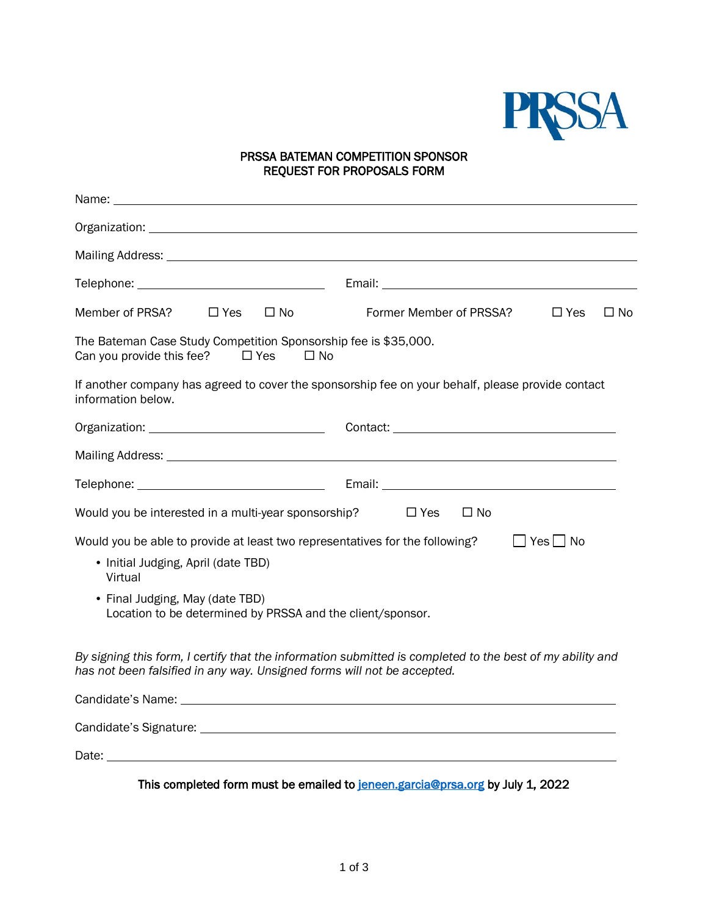

## PRSSA BATEMAN COMPETITION SPONSOR REQUEST FOR PROPOSALS FORM

| Member of PRSA?<br>$\Box$ Yes<br>$\Box$ No                                                                                                                                           | Former Member of PRSSA?<br>$\Box$ No<br>$\Box$ Yes |  |
|--------------------------------------------------------------------------------------------------------------------------------------------------------------------------------------|----------------------------------------------------|--|
| The Bateman Case Study Competition Sponsorship fee is \$35,000.<br>Can you provide this fee?<br>$\Box$ Yes<br>⊟ No                                                                   |                                                    |  |
| If another company has agreed to cover the sponsorship fee on your behalf, please provide contact<br>information below.                                                              |                                                    |  |
|                                                                                                                                                                                      |                                                    |  |
|                                                                                                                                                                                      |                                                    |  |
|                                                                                                                                                                                      |                                                    |  |
| Would you be interested in a multi-year sponsorship?<br>$\Box$ Yes<br>$\Box$ No                                                                                                      |                                                    |  |
| Would you be able to provide at least two representatives for the following?<br>$\Box$ Yes $\Box$ No                                                                                 |                                                    |  |
| • Initial Judging, April (date TBD)<br>Virtual                                                                                                                                       |                                                    |  |
| • Final Judging, May (date TBD)<br>Location to be determined by PRSSA and the client/sponsor.                                                                                        |                                                    |  |
| By signing this form, I certify that the information submitted is completed to the best of my ability and<br>has not been falsified in any way. Unsigned forms will not be accepted. |                                                    |  |
|                                                                                                                                                                                      |                                                    |  |
|                                                                                                                                                                                      |                                                    |  |
|                                                                                                                                                                                      |                                                    |  |

This completed form must be emailed to [jeneen.garcia@prsa.org](mailto:jeneen.garcia@prsa.org) by July 1, 2022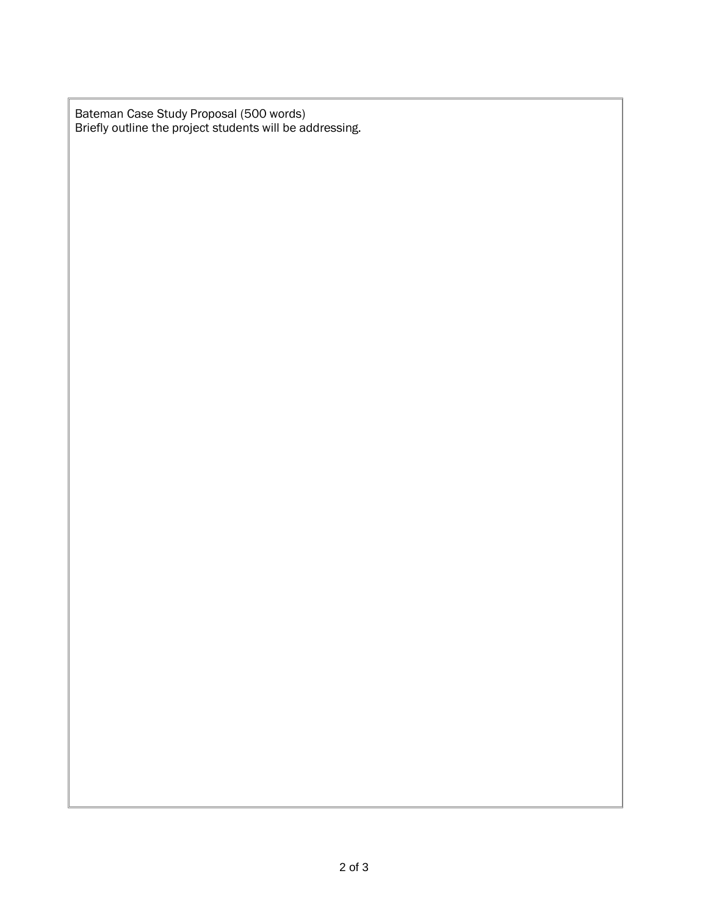Bateman Case Study Proposal (500 words) Briefly outline the project students will be addressing.